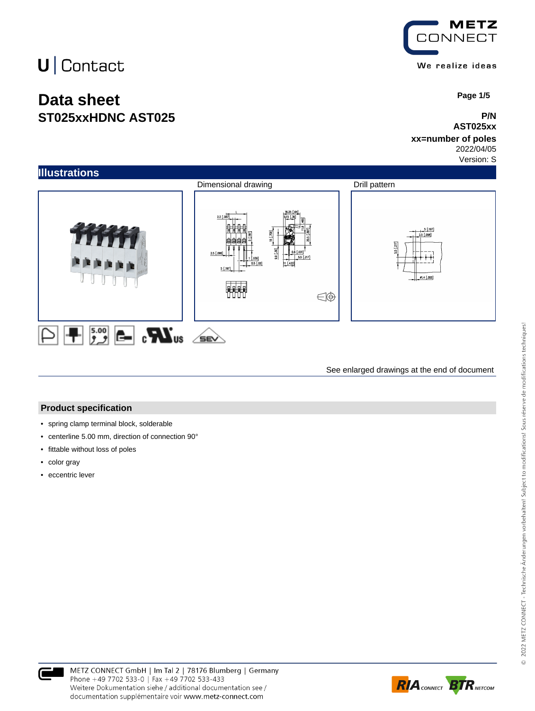### **Data sheet ST025xxHDNC AST025**



 **Page 1/5**

#### **P/N AST025xx**

#### **xx=number of poles** 2022/04/05

Version: S



See enlarged drawings at the end of document

#### **Product specification**

- spring clamp terminal block, solderable
- centerline 5.00 mm, direction of connection 90°
- fittable without loss of poles
- color gray
- eccentric lever



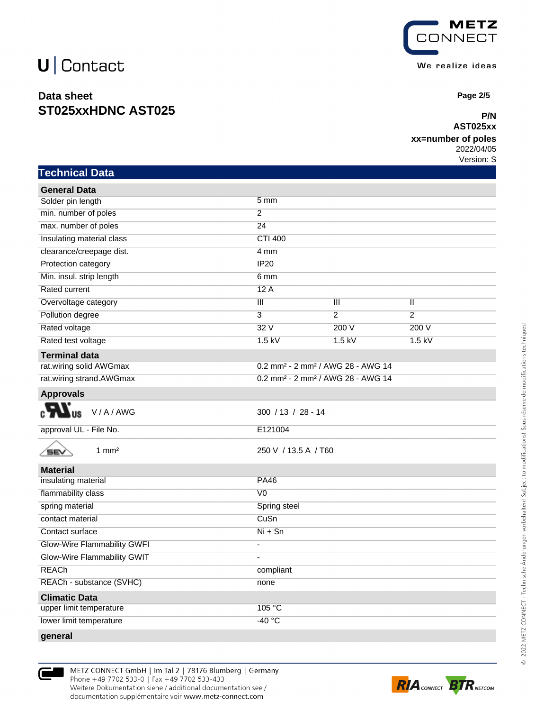**Technical Data**

### **Data sheet ST025xxHDNC AST025**



 **Page 2/5**

#### **P/N AST025xx**

#### **xx=number of poles**

2022/04/05 Version: S

| <b>General Data</b>                |                          |                                                           |                |  |
|------------------------------------|--------------------------|-----------------------------------------------------------|----------------|--|
| Solder pin length                  | 5 <sub>mm</sub>          |                                                           |                |  |
| min. number of poles               | $\overline{2}$           |                                                           |                |  |
| max. number of poles               | 24                       |                                                           |                |  |
| Insulating material class          | <b>CTI 400</b>           |                                                           |                |  |
| clearance/creepage dist.           | 4 mm                     |                                                           |                |  |
| Protection category                | IP20                     |                                                           |                |  |
| Min. insul. strip length           | 6 mm                     |                                                           |                |  |
| <b>Rated current</b>               | 12A                      |                                                           |                |  |
| Overvoltage category               | Ш                        | Ш                                                         | π              |  |
| Pollution degree                   | $\overline{3}$           | $\overline{2}$                                            | $\overline{2}$ |  |
| Rated voltage                      | 32V                      | 200V                                                      | 200V           |  |
| Rated test voltage                 | $1.5$ kV                 | $1.5$ kV                                                  | $1.5$ kV       |  |
| <b>Terminal data</b>               |                          |                                                           |                |  |
| rat.wiring solid AWGmax            |                          | 0.2 mm <sup>2</sup> - 2 mm <sup>2</sup> / AWG 28 - AWG 14 |                |  |
| rat.wiring strand.AWGmax           |                          | 0.2 mm <sup>2</sup> - 2 mm <sup>2</sup> / AWG 28 - AWG 14 |                |  |
| <b>Approvals</b>                   |                          |                                                           |                |  |
| V/A/AWG<br><b>US</b>               |                          | $300 / 13 / 28 - 14$                                      |                |  |
| approval UL - File No.             | E121004                  |                                                           |                |  |
| $1 \text{ mm}^2$<br>SEV            |                          | 250 V / 13.5 A / T60                                      |                |  |
| <b>Material</b>                    |                          |                                                           |                |  |
| insulating material                | <b>PA46</b>              |                                                           |                |  |
| flammability class                 | $\overline{V}0$          |                                                           |                |  |
| spring material                    | Spring steel             |                                                           |                |  |
| contact material                   | CuSn                     |                                                           |                |  |
| Contact surface                    | $Ni + Sn$                |                                                           |                |  |
| <b>Glow-Wire Flammability GWFI</b> | $\overline{a}$           |                                                           |                |  |
| Glow-Wire Flammability GWIT        | $\overline{\phantom{a}}$ |                                                           |                |  |
| <b>REACh</b>                       | compliant                |                                                           |                |  |
| REACh - substance (SVHC)           | none                     |                                                           |                |  |
| <b>Climatic Data</b>               |                          |                                                           |                |  |
| upper limit temperature            | 105 °C                   |                                                           |                |  |
| lower limit temperature            | $-40 °C$                 |                                                           |                |  |
| deneral                            |                          |                                                           |                |  |



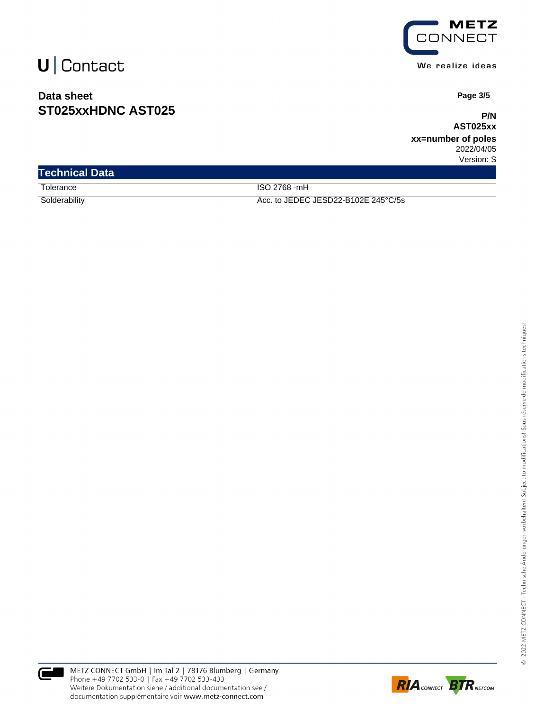### **Data sheet ST025xxHDNC AST025**



We realize ideas

 **Page 3/5**

**P/N AST025xx**

**xx=number of poles** 2022/04/05 Version: S

| <b>Technical Data</b> |                                     |
|-----------------------|-------------------------------------|
| Tolerance             | ISO 2768 -mH                        |
| Solderability         | Acc. to JEDEC JESD22-B102E 245°C/5s |



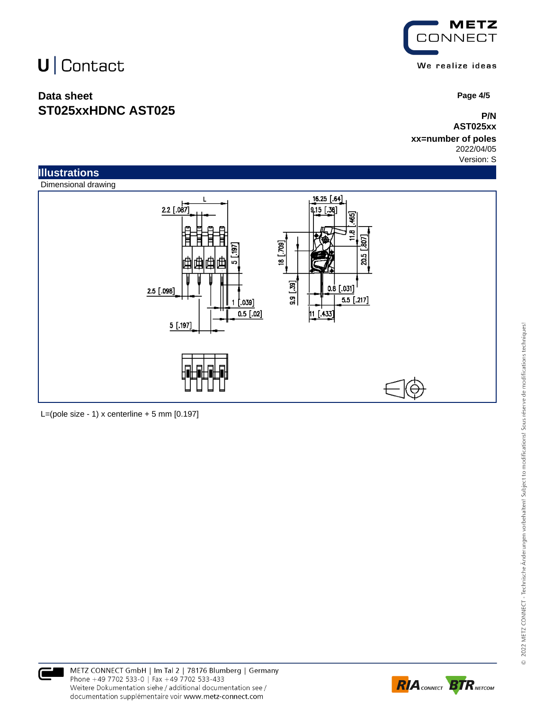### **Data sheet ST025xxHDNC AST025**



 **Page 4/5**

**P/N AST025xx**

**xx=number of poles** 2022/04/05

Version: S



L=(pole size - 1) x centerline  $+5$  mm  $[0.197]$